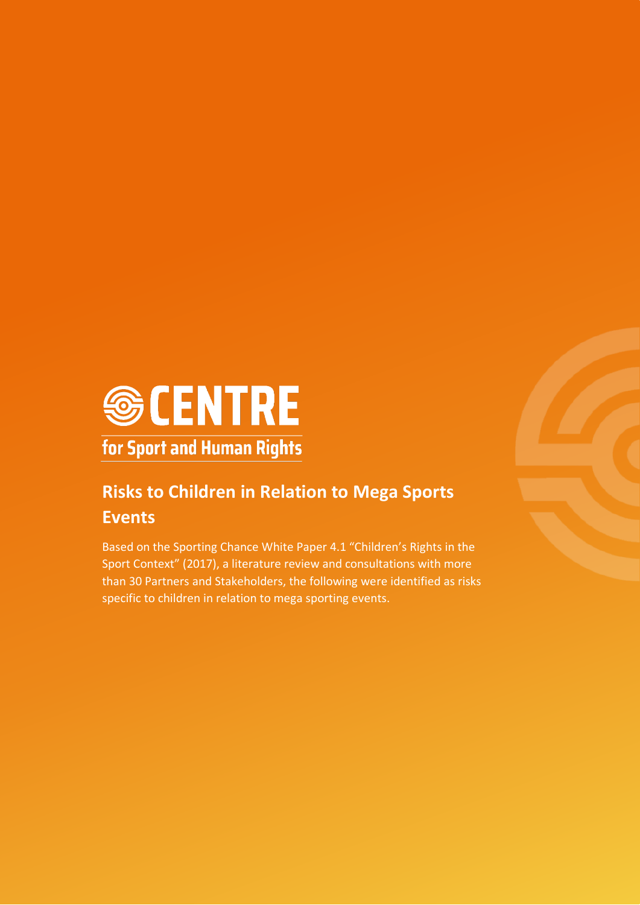

## **Risks to Children in Relation to Mega Sports Events**

Based on the Sporting Chance White Paper 4.1 "Children's Rights in the Sport Context" (2017), a literature review and consultations with more than 30 Partners and Stakeholders, the following were identified as risks specific to children in relation to mega sporting events.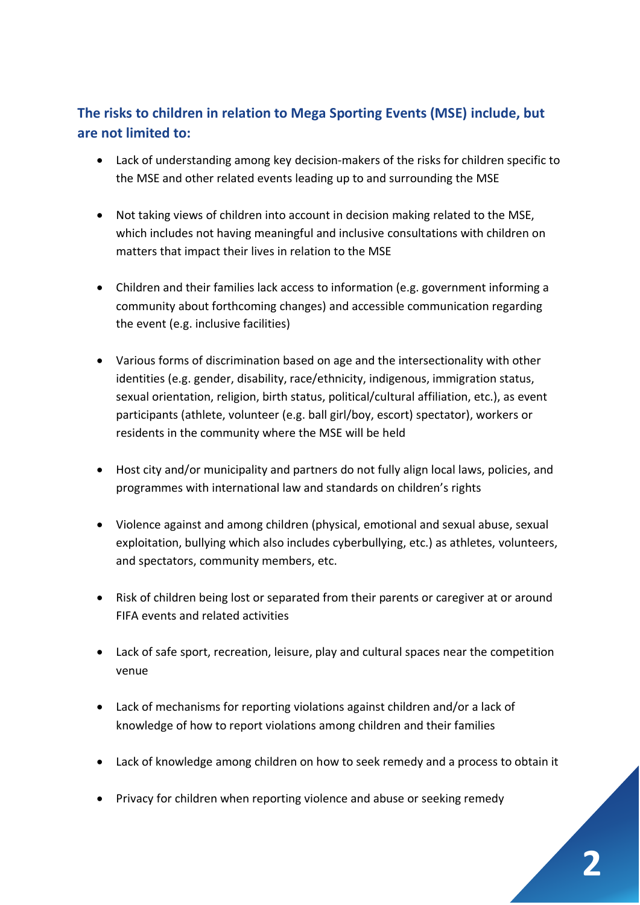## **The risks to children in relation to Mega Sporting Events (MSE) include, but are not limited to:**

- Lack of understanding among key decision-makers of the risks for children specific to the MSE and other related events leading up to and surrounding the MSE
- Not taking views of children into account in decision making related to the MSE, which includes not having meaningful and inclusive consultations with children on matters that impact their lives in relation to the MSE
- Children and their families lack access to information (e.g. government informing a community about forthcoming changes) and accessible communication regarding the event (e.g. inclusive facilities)
- Various forms of discrimination based on age and the intersectionality with other identities (e.g. gender, disability, race/ethnicity, indigenous, immigration status, sexual orientation, religion, birth status, political/cultural affiliation, etc.), as event participants (athlete, volunteer (e.g. ball girl/boy, escort) spectator), workers or residents in the community where the MSE will be held
- Host city and/or municipality and partners do not fully align local laws, policies, and programmes with international law and standards on children's rights
- Violence against and among children (physical, emotional and sexual abuse, sexual exploitation, bullying which also includes cyberbullying, etc.) as athletes, volunteers, and spectators, community members, etc.
- Risk of children being lost or separated from their parents or caregiver at or around FIFA events and related activities
- Lack of safe sport, recreation, leisure, play and cultural spaces near the competition venue
- Lack of mechanisms for reporting violations against children and/or a lack of knowledge of how to report violations among children and their families
- Lack of knowledge among children on how to seek remedy and a process to obtain it
- Privacy for children when reporting violence and abuse or seeking remedy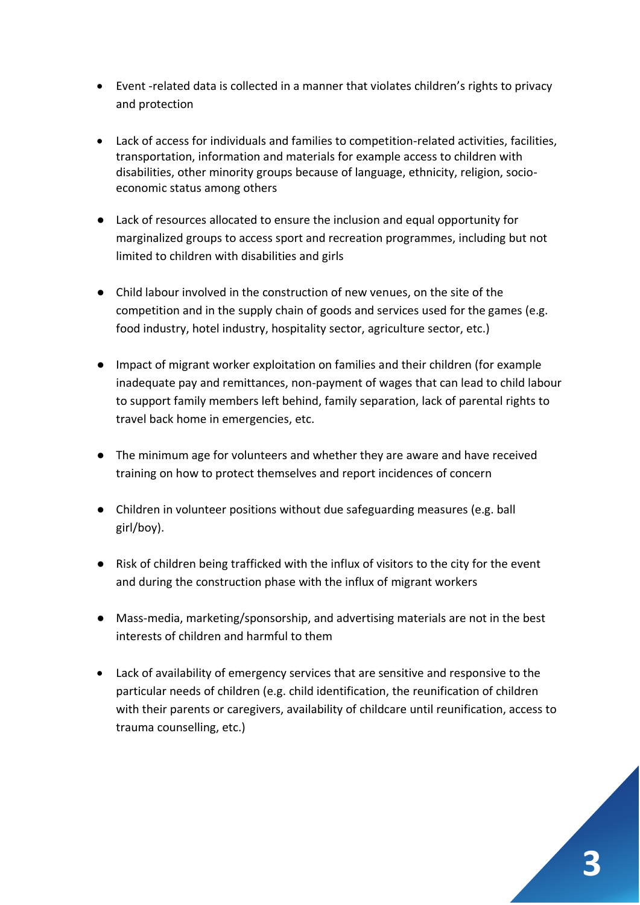- Event -related data is collected in a manner that violates children's rights to privacy and protection
- Lack of access for individuals and families to competition-related activities, facilities, transportation, information and materials for example access to children with disabilities, other minority groups because of language, ethnicity, religion, socioeconomic status among others
- Lack of resources allocated to ensure the inclusion and equal opportunity for marginalized groups to access sport and recreation programmes, including but not limited to children with disabilities and girls
- Child labour involved in the construction of new venues, on the site of the competition and in the supply chain of goods and services used for the games (e.g. food industry, hotel industry, hospitality sector, agriculture sector, etc.)
- Impact of migrant worker exploitation on families and their children (for example inadequate pay and remittances, non-payment of wages that can lead to child labour to support family members left behind, family separation, lack of parental rights to travel back home in emergencies, etc.
- The minimum age for volunteers and whether they are aware and have received training on how to protect themselves and report incidences of concern
- Children in volunteer positions without due safeguarding measures (e.g. ball girl/boy).
- Risk of children being trafficked with the influx of visitors to the city for the event and during the construction phase with the influx of migrant workers
- Mass-media, marketing/sponsorship, and advertising materials are not in the best interests of children and harmful to them
- Lack of availability of emergency services that are sensitive and responsive to the particular needs of children (e.g. child identification, the reunification of children with their parents or caregivers, availability of childcare until reunification, access to trauma counselling, etc.)